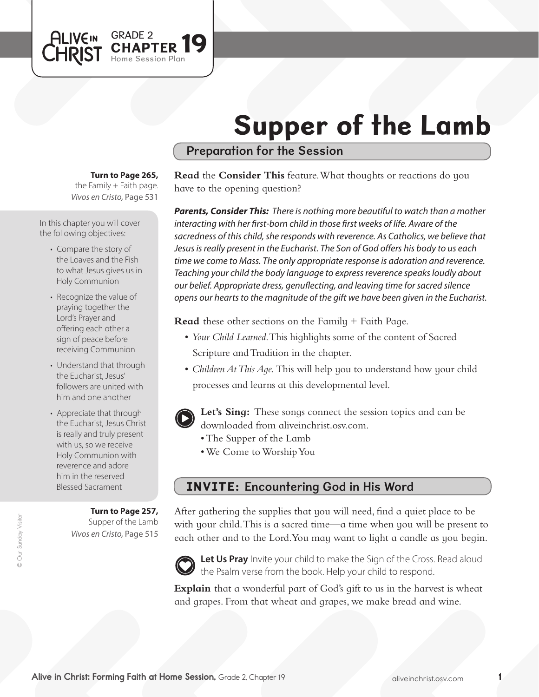# Supper of the Lamb

## Preparation for the Session

#### **Turn to Page 265,**

GRADE 2<br>CHAPTER 19

Session Plan

the Family  $+$  Faith page. *Vivos en Cristo,* Page 531

In this chapter you will cover the following objectives:

**ALIVEIN LHRIST** 

- Compare the story of the Loaves and the Fish to what Jesus gives us in Holy Communion
- Recognize the value of praying together the Lord's Prayer and offering each other a sign of peace before receiving Communion
- Understand that through the Eucharist, Jesus' followers are united with him and one another
- Appreciate that through the Eucharist, Jesus Christ is really and truly present with us, so we receive Holy Communion with reverence and adore him in the reserved Blessed Sacrament

#### **Turn to Page 257,**

Supper of the Lamb *Vivos en Cristo,* Page 515 **Read** the **Consider This** feature. What thoughts or reactions do you have to the opening question?

*Parents, Consider This: There is nothing more beautiful to watch than a mother interacting with her first-born child in those first weeks of life. Aware of the sacredness of this child, she responds with reverence. As Catholics, we believe that Jesus is really present in the Eucharist. The Son of God offers his body to us each time we come to Mass. The only appropriate response is adoration and reverence. Teaching your child the body language to express reverence speaks loudly about our belief. Appropriate dress, genuflecting, and leaving time for sacred silence opens our hearts to the magnitude of the gift we have been given in the Eucharist.* 

**Read** these other sections on the Family + Faith Page.

- • *Your Child Learned*. This highlights some of the content of Sacred Scripture and Tradition in the chapter.
- *Children At This Age*. This will help you to understand how your child processes and learns at this developmental level.
- **Let's Sing:** These songs connect the session topics and can be downloaded from aliveinchrist.osv.com.
	- The Supper of the Lamb
	- We Come to Worship You

## INVITE: Encountering God in His Word

After gathering the supplies that you will need, find a quiet place to be with your child. This is a sacred time—a time when you will be present to each other and to the Lord.You may want to light a candle as you begin.



Let Us Pray Invite your child to make the Sign of the Cross. Read aloud the Psalm verse from the book. Help your child to respond.

**Explain** that a wonderful part of God's gift to us in the harvest is wheat and grapes. From that wheat and grapes, we make bread and wine.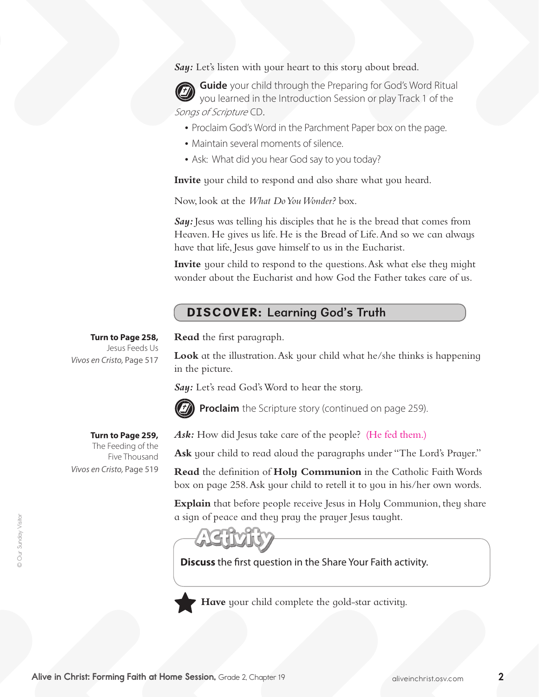**Say:** Let's listen with your heart to this story about bread.

**Guide** your child through the Preparing for God's Word Ritual you learned in the Introduction Session or play Track 1 of the Songs of Scripture CD.

- Proclaim God's Word in the Parchment Paper box on the page.
- Maintain several moments of silence.
- Ask: What did you hear God say to you today?

**Invite** your child to respond and also share what you heard.

Now, look at the *What Do You Wonder?* box.

*Say:* Jesus was telling his disciples that he is the bread that comes from Heaven. He gives us life. He is the Bread of Life.And so we can always have that life, Jesus gave himself to us in the Eucharist.

**Invite** your child to respond to the questions. Ask what else they might wonder about the Eucharist and how God the Father takes care of us.

# DISCOVER: Learning God's Truth

**Turn to Page 258,** Jesus Feeds Us **Read** the first paragraph.

**Look** at the illustration. Ask your child what he/she thinks is happening in the picture.

Say: Let's read God's Word to hear the story.



**Proclaim** the Scripture story (continued on page 259).

Ask: How did Jesus take care of the people? (He fed them.)

Ask your child to read aloud the paragraphs under "The Lord's Prayer."

**Read** the definition of **Holy Communion** in the Catholic Faith Words box on page 258. Ask your child to retell it to you in his/her own words.

**Explain** that before people receive Jesus in Holy Communion, they share a sign of peace and they pray the prayer Jesus taught.

**Discuss** the first question in the Share Your Faith activity.



**Have** your child complete the gold-star activity.

*Vivos en Cristo,* Page 517

## **Turn to Page 259,**

The Feeding of the Five Thousand *Vivos en Cristo,* Page 519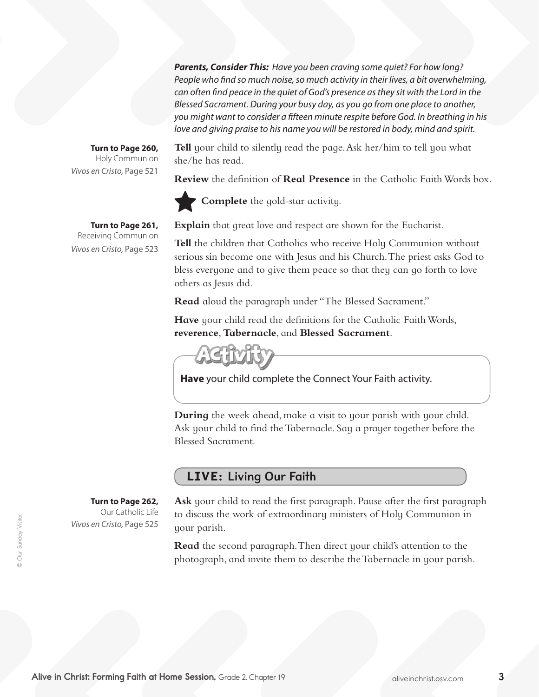*Parents, Consider This: Have you been craving some quiet? For how long? People who find so much noise, so much activity in their lives, a bit overwhelming,*  can often find peace in the quiet of God's presence as they sit with the Lord in the *Blessed Sacrament. During your busy day, as you go from one place to another, you might want to consider a fifteen minute respite before God. In breathing in his love and giving praise to his name you will be restored in body, mind and spirit.* 

**Turn to Page 260,** Holy Communion *Vivos en Cristo,* Page 521

**Turn to Page 261,** Receiving Communion

*Vivos en Cristo,* Page 523

**Tell** your child to silently read the page. Ask her/him to tell you what she/he has read.

**Review** the definition of **Real Presence** in the Catholic Faith Words box.



**Complete** the gold-star activity.

**Explain** that great love and respect are shown for the Eucharist.

**Tell** the children that Catholics who receive Holy Communion without serious sin become one with Jesus and his Church.The priest asks God to bless everyone and to give them peace so that they can go forth to love others as Jesus did.

**Read** aloud the paragraph under "The Blessed Sacrament."

**Have** your child read the definitions for the Catholic Faith Words, **reverence**, **Tabernacle**, and **Blessed Sacrament**.

**Have** your child complete the Connect Your Faith activity.

**During** the week ahead, make a visit to your parish with your child. Ask your child to find the Tabernacle. Say a prayer together before the Blessed Sacrament.

### LIVE: Living Our Faith

**Turn to Page 262,** 

Our Catholic Life *Vivos en Cristo,* Page 525

**Ask** your child to read the first paragraph. Pause after the first paragraph to discuss the work of extraordinary ministers of Holy Communion in your parish.

**Read** the second paragraph. Then direct your child's attention to the photograph, and invite them to describe the Tabernacle in your parish.